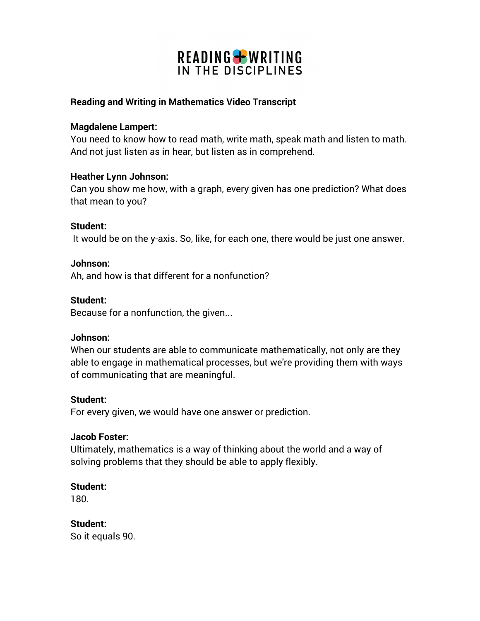# READING + WRITING IN THE DISCIPLINES

### **Reading and Writing in Mathematics Video Transcript**

#### **Magdalene Lampert:**

You need to know how to read math, write math, speak math and listen to math. And not just listen as in hear, but listen as in comprehend.

#### **Heather Lynn Johnson:**

Can you show me how, with a graph, every given has one prediction? What does that mean to you?

#### **Student:**

It would be on the y-axis. So, like, for each one, there would be just one answer.

#### **Johnson:**

Ah, and how is that different for a nonfunction?

#### **Student:**

Because for a nonfunction, the given...

#### **Johnson:**

When our students are able to communicate mathematically, not only are they able to engage in mathematical processes, but we're providing them with ways of communicating that are meaningful.

#### **Student:**

For every given, we would have one answer or prediction.

#### **Jacob Foster:**

Ultimately, mathematics is a way of thinking about the world and a way of solving problems that they should be able to apply flexibly.

#### **Student:**

180.

#### **Student:**

So it equals 90.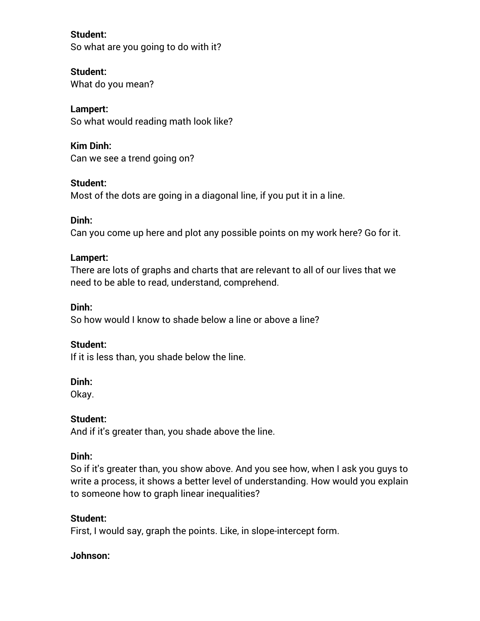**Student:**  So what are you going to do with it?

### **Student:**

What do you mean?

# **Lampert:**

So what would reading math look like?

## **Kim Dinh:**

Can we see a trend going on?

## **Student:**

Most of the dots are going in a diagonal line, if you put it in a line.

## **Dinh:**

Can you come up here and plot any possible points on my work here? Go for it.

## **Lampert:**

There are lots of graphs and charts that are relevant to all of our lives that we need to be able to read, understand, comprehend.

## **Dinh:**

So how would I know to shade below a line or above a line?

## **Student:**

If it is less than, you shade below the line.

## **Dinh:**

Okay.

## **Student:**

And if it's greater than, you shade above the line.

## **Dinh:**

So if it's greater than, you show above. And you see how, when I ask you guys to write a process, it shows a better level of understanding. How would you explain to someone how to graph linear inequalities?

## **Student:**

First, I would say, graph the points. Like, in slope-intercept form.

## **Johnson:**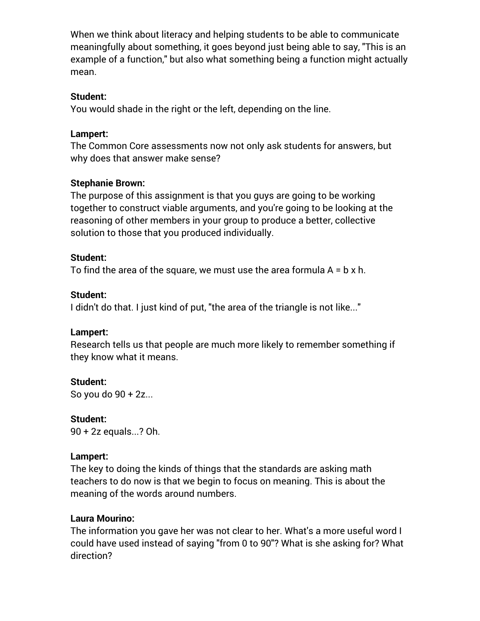When we think about literacy and helping students to be able to communicate meaningfully about something, it goes beyond just being able to say, "This is an example of a function," but also what something being a function might actually mean.

### **Student:**

You would shade in the right or the left, depending on the line.

### **Lampert:**

The Common Core assessments now not only ask students for answers, but why does that answer make sense?

### **Stephanie Brown:**

The purpose of this assignment is that you guys are going to be working together to construct viable arguments, and you're going to be looking at the reasoning of other members in your group to produce a better, collective solution to those that you produced individually.

### **Student:**

To find the area of the square, we must use the area formula  $A = b \times h$ .

### **Student:**

I didn't do that. I just kind of put, "the area of the triangle is not like..."

## **Lampert:**

Research tells us that people are much more likely to remember something if they know what it means.

**Student:**

So you do 90 + 2z...

**Student:** 90 + 2z equals...? Oh.

## **Lampert:**

The key to doing the kinds of things that the standards are asking math teachers to do now is that we begin to focus on meaning. This is about the meaning of the words around numbers.

## **Laura Mourino:**

The information you gave her was not clear to her. What's a more useful word I could have used instead of saying "from 0 to 90"? What is she asking for? What direction?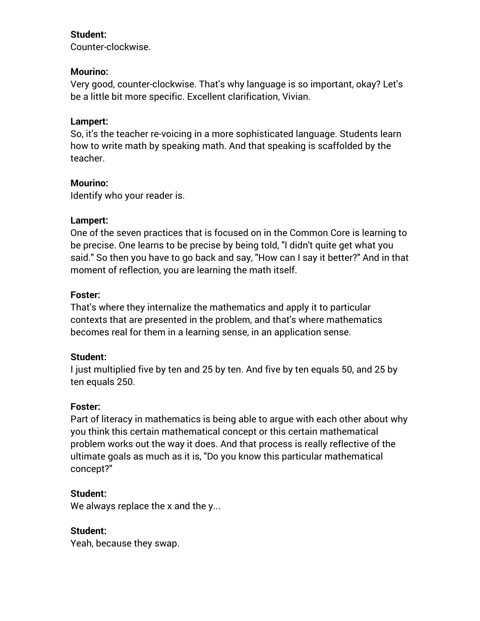### **Student:**

Counter-clockwise.

### **Mourino:**

Very good, counter-clockwise. That's why language is so important, okay? Let's be a little bit more specific. Excellent clarification, Vivian.

### **Lampert:**

So, it's the teacher re-voicing in a more sophisticated language. Students learn how to write math by speaking math. And that speaking is scaffolded by the teacher.

### **Mourino:**

Identify who your reader is.

### **Lampert:**

One of the seven practices that is focused on in the Common Core is learning to be precise. One learns to be precise by being told, "I didn't quite get what you said." So then you have to go back and say, "How can I say it better?" And in that moment of reflection, you are learning the math itself.

### **Foster:**

That's where they internalize the mathematics and apply it to particular contexts that are presented in the problem, and that's where mathematics becomes real for them in a learning sense, in an application sense.

### **Student:**

I just multiplied five by ten and 25 by ten. And five by ten equals 50, and 25 by ten equals 250.

### **Foster:**

Part of literacy in mathematics is being able to argue with each other about why you think this certain mathematical concept or this certain mathematical problem works out the way it does. And that process is really reflective of the ultimate goals as much as it is, "Do you know this particular mathematical concept?"

### **Student:**

We always replace the x and the y...

## **Student:**

Yeah, because they swap.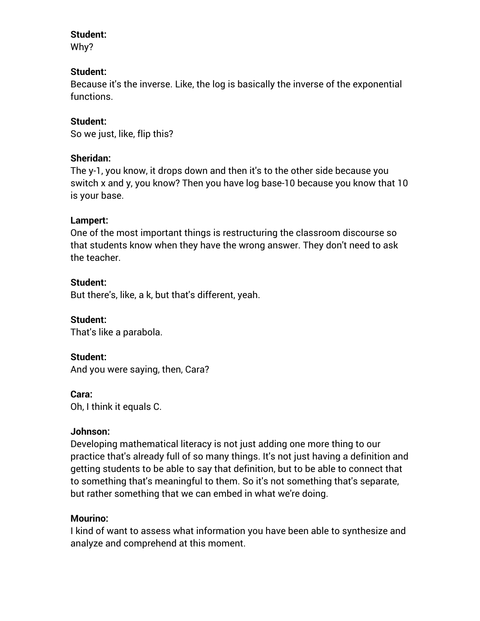#### **Student:**

Why?

### **Student:**

Because it's the inverse. Like, the log is basically the inverse of the exponential functions.

### **Student:**

So we just, like, flip this?

### **Sheridan:**

The y-1, you know, it drops down and then it's to the other side because you switch x and y, you know? Then you have log base-10 because you know that 10 is your base.

### **Lampert:**

One of the most important things is restructuring the classroom discourse so that students know when they have the wrong answer. They don't need to ask the teacher.

### **Student:**

But there's, like, a k, but that's different, yeah.

**Student:**  That's like a parabola.

### **Student:**

And you were saying, then, Cara?

#### **Cara:**

Oh, I think it equals C.

#### **Johnson:**

Developing mathematical literacy is not just adding one more thing to our practice that's already full of so many things. It's not just having a definition and getting students to be able to say that definition, but to be able to connect that to something that's meaningful to them. So it's not something that's separate, but rather something that we can embed in what we're doing.

#### **Mourino:**

I kind of want to assess what information you have been able to synthesize and analyze and comprehend at this moment.